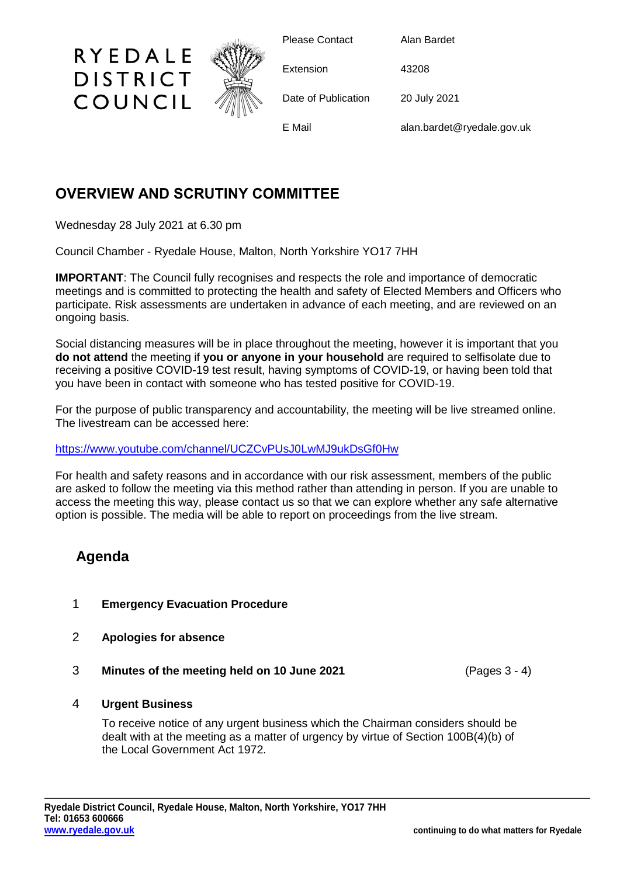

## **OVERVIEW AND SCRUTINY COMMITTEE**

Wednesday 28 July 2021 at 6.30 pm

Council Chamber - Ryedale House, Malton, North Yorkshire YO17 7HH

**IMPORTANT:** The Council fully recognises and respects the role and importance of democratic meetings and is committed to protecting the health and safety of Elected Members and Officers who participate. Risk assessments are undertaken in advance of each meeting, and are reviewed on an ongoing basis.

Social distancing measures will be in place throughout the meeting, however it is important that you **do not attend** the meeting if **you or anyone in your household** are required to selfisolate due to receiving a positive COVID-19 test result, having symptoms of COVID-19, or having been told that you have been in contact with someone who has tested positive for COVID-19.

For the purpose of public transparency and accountability, the meeting will be live streamed online. The livestream can be accessed here:

<https://www.youtube.com/channel/UCZCvPUsJ0LwMJ9ukDsGf0Hw>

For health and safety reasons and in accordance with our risk assessment, members of the public are asked to follow the meeting via this method rather than attending in person. If you are unable to access the meeting this way, please contact us so that we can explore whether any safe alternative option is possible. The media will be able to report on proceedings from the live stream.

## **Agenda**

- 1 **Emergency Evacuation Procedure**
- 2 **Apologies for absence**
- 3 **Minutes of the meeting held on 10 June 2021** (Pages 3 4)

4 **Urgent Business**

To receive notice of any urgent business which the Chairman considers should be dealt with at the meeting as a matter of urgency by virtue of Section 100B(4)(b) of the Local Government Act 1972.